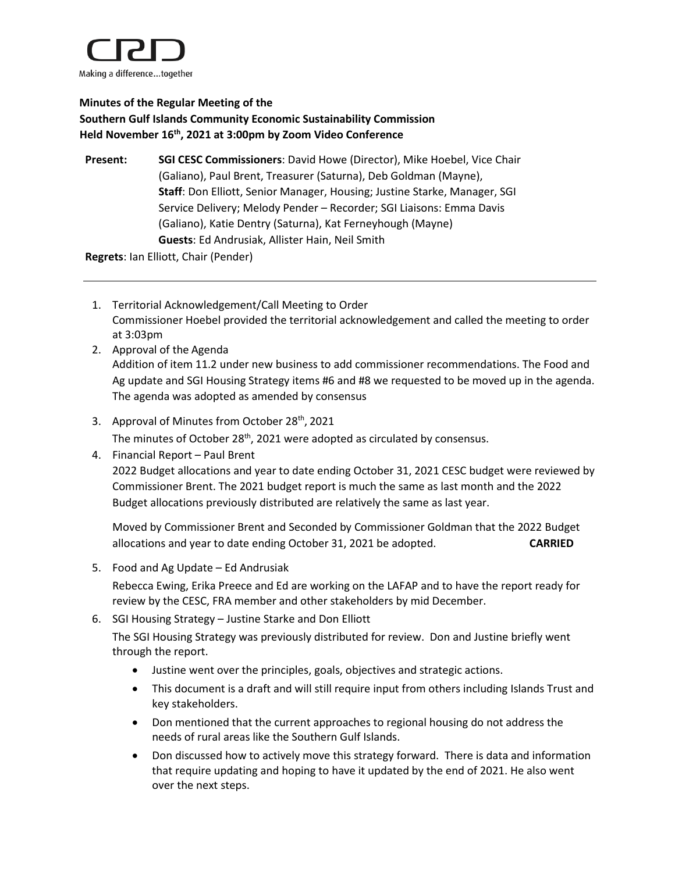

## **Minutes of the Regular Meeting of the Southern Gulf Islands Community Economic Sustainability Commission Held November 16th, 2021 at 3:00pm by Zoom Video Conference**

**Present: SGI CESC Commissioners**: David Howe (Director), Mike Hoebel, Vice Chair (Galiano), Paul Brent, Treasurer (Saturna), Deb Goldman (Mayne), **Staff**: Don Elliott, Senior Manager, Housing; Justine Starke, Manager, SGI Service Delivery; Melody Pender – Recorder; SGI Liaisons: Emma Davis (Galiano), Katie Dentry (Saturna), Kat Ferneyhough (Mayne) **Guests**: Ed Andrusiak, Allister Hain, Neil Smith

**Regrets**: Ian Elliott, Chair (Pender)

- 1. Territorial Acknowledgement/Call Meeting to Order Commissioner Hoebel provided the territorial acknowledgement and called the meeting to order at 3:03pm
- 2. Approval of the Agenda Addition of item 11.2 under new business to add commissioner recommendations. The Food and Ag update and SGI Housing Strategy items #6 and #8 we requested to be moved up in the agenda. The agenda was adopted as amended by consensus
- 3. Approval of Minutes from October 28<sup>th</sup>, 2021

The minutes of October 28<sup>th</sup>, 2021 were adopted as circulated by consensus.

4. Financial Report – Paul Brent

2022 Budget allocations and year to date ending October 31, 2021 CESC budget were reviewed by Commissioner Brent. The 2021 budget report is much the same as last month and the 2022 Budget allocations previously distributed are relatively the same as last year.

Moved by Commissioner Brent and Seconded by Commissioner Goldman that the 2022 Budget allocations and year to date ending October 31, 2021 be adopted. **CARRIED**

5. Food and Ag Update – Ed Andrusiak

Rebecca Ewing, Erika Preece and Ed are working on the LAFAP and to have the report ready for review by the CESC, FRA member and other stakeholders by mid December.

6. SGI Housing Strategy – Justine Starke and Don Elliott

The SGI Housing Strategy was previously distributed for review. Don and Justine briefly went through the report.

- Justine went over the principles, goals, objectives and strategic actions.
- This document is a draft and will still require input from others including Islands Trust and key stakeholders.
- Don mentioned that the current approaches to regional housing do not address the needs of rural areas like the Southern Gulf Islands.
- Don discussed how to actively move this strategy forward. There is data and information that require updating and hoping to have it updated by the end of 2021. He also went over the next steps.